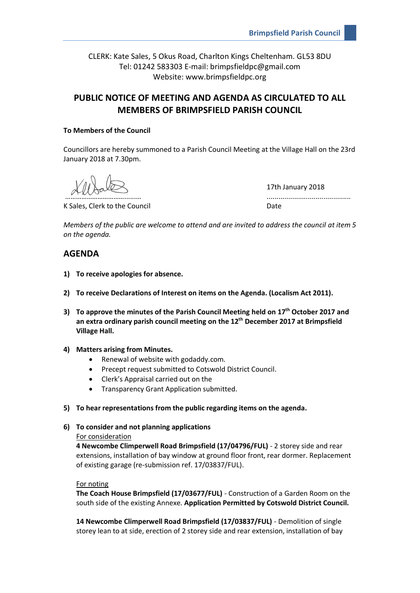CLERK: Kate Sales, 5 Okus Road, Charlton Kings Cheltenham. GL53 8DU Tel: 01242 583303 E-mail: brimpsfieldpc@gmail.com Website: www.brimpsfieldpc.org

# **PUBLIC NOTICE OF MEETING AND AGENDA AS CIRCULATED TO ALL MEMBERS OF BRIMPSFIELD PARISH COUNCIL**

### **To Members of the Council**

Councillors are hereby summoned to a Parish Council Meeting at the Village Hall on the 23rd January 2018 at 7.30pm.

K Sales, Clerk to the Council and Date Date

17th January 2018 ………………………………………………

*Members of the public are welcome to attend and are invited to address the council at item 5 on the agenda.*

## **AGENDA**

- **1) To receive apologies for absence.**
- **2) To receive Declarations of Interest on items on the Agenda. (Localism Act 2011).**
- **3) To approve the minutes of the Parish Council Meeting held on 17th October 2017 and an extra ordinary parish council meeting on the 12th December 2017 at Brimpsfield Village Hall.**
- **4) Matters arising from Minutes.**
	- Renewal of website with godaddy.com.
	- Precept request submitted to Cotswold District Council.
	- Clerk's Appraisal carried out on the
	- Transparency Grant Application submitted.
- **5) To hear representations from the public regarding items on the agenda.**
- **6) To consider and not planning applications**

#### For consideration

**4 Newcombe Climperwell Road Brimpsfield (17/04796/FUL)** - 2 storey side and rear extensions, installation of bay window at ground floor front, rear dormer. Replacement of existing garage (re-submission ref. 17/03837/FUL).

#### For noting

**The Coach House Brimpsfield (17/03677/FUL)** - Construction of a Garden Room on the south side of the existing Annexe. **Application Permitted by Cotswold District Council.**

**14 Newcombe Climperwell Road Brimpsfield (17/03837/FUL)** - Demolition of single storey lean to at side, erection of 2 storey side and rear extension, installation of bay